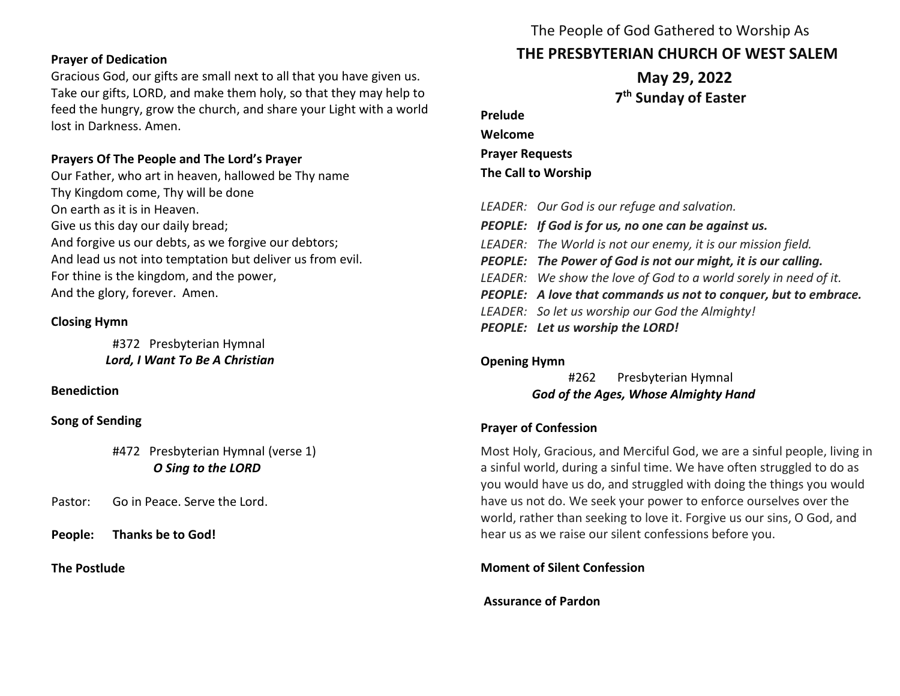### **Prayer of Dedication**

Gracious God, our gifts are small next to all that you have given us. Take our gifts, LORD, and make them holy, so that they may help to feed the hungry, grow the church, and share your Light with a world lost in Darkness. Amen.

## **Prayers Of The People and The Lord's Prayer**

Our Father, who art in heaven, hallowed be Thy name Thy Kingdom come, Thy will be done On earth as it is in Heaven. Give us this day our daily bread; And forgive us our debts, as we forgive our debtors; And lead us not into temptation but deliver us from evil. For thine is the kingdom, and the power, And the glory, forever. Amen.

# **Closing Hymn**

#372 Presbyterian Hymnal  *Lord, I Want To Be A Christian*

## **Benediction**

**Song of Sending**

#472 Presbyterian Hymnal (verse 1) *O Sing to the LORD*

Pastor: Go in Peace. Serve the Lord.

**People: Thanks be to God!** 

**The Postlude** 

# The People of God Gathered to Worship As **THE PRESBYTERIAN CHURCH OF WEST SALEM**

 **May 29, 2022 7 th Sunday of Easter**

**Prelude Welcome Prayer Requests The Call to Worship** *LEADER: Our God is our refuge and salvation. PEOPLE: If God is for us, no one can be against us.*

- *LEADER: The World is not our enemy, it is our mission field.*
- *PEOPLE: The Power of God is not our might, it is our calling.*
- *LEADER: We show the love of God to a world sorely in need of it.*
- *PEOPLE: A love that commands us not to conquer, but to embrace.*
- *LEADER: So let us worship our God the Almighty!*
- *PEOPLE: Let us worship the LORD!*

# **Opening Hymn**

#262 Presbyterian Hymnal *God of the Ages, Whose Almighty Hand*

# **Prayer of Confession**

Most Holy, Gracious, and Merciful God, we are a sinful people, living in a sinful world, during a sinful time. We have often struggled to do as you would have us do, and struggled with doing the things you would have us not do. We seek your power to enforce ourselves over the world, rather than seeking to love it. Forgive us our sins, O God, and hear us as we raise our silent confessions before you.

# **Moment of Silent Confession**

# **Assurance of Pardon**